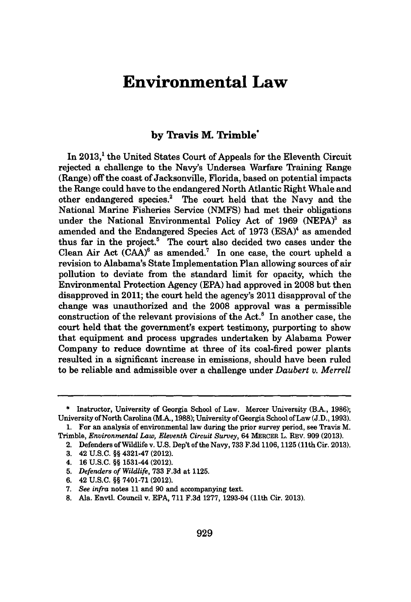## **Environmental Law**

## **by Travis M. Trimble\***

In 2013,<sup>1</sup> the United States Court of Appeals for the Eleventh Circuit rejected a challenge to the Navy's Undersea Warfare Training Range (Range) off the coast of Jacksonville, Florida, based on potential impacts the Range could have to the endangered North Atlantic Right Whale and other endangered species.<sup>2</sup> The court held that the Navy and the National Marine Fisheries Service **(NMFS)** had met their obligations under the National Environmental Policy Act of 1969 (NEPA)<sup>3</sup> as amended and the Endangered Species Act of 1973 (ESA)<sup>4</sup> as amended thus far in the project.' The court also decided two cases under the Clean Air Act  $(CAA)^6$  as amended.<sup>7</sup> In one case, the court upheld a revision to Alabama's State Implementation Plan allowing sources of air pollution to deviate from the standard limit for opacity, which the Environmental Protection Agency **(EPA)** had approved in **2008** but then disapproved in 2011; the court held the agency's 2011 disapproval of the change was unauthorized and the **2008** approval was a permissible construction of the relevant provisions of the Act.' In another case, the court held that the government's expert testimony, purporting to show that equipment and process upgrades undertaken **by** Alabama Power Company to reduce downtime at three of its coal-fired power plants resulted in a significant increase in emissions, should have been ruled to be reliable and admissible over a challenge under *Daubert v. Merrell*

4. **16 U.S.C. §§** 1531-44 (2012).

**6.** 42 **U.S.C. §§ 7401-71** (2012).

**<sup>\*</sup>** Instructor, University of Georgia School of Law. Mercer University (B.A., **1986);** University of North Carolina (M.A., **1988);** University of Georgia School of Law **(J.D., 1993).**

**<sup>1.</sup>** For an analysis of environmental law during the prior survey period, see Travis M. Trimble, *Environmental Law, Eleventh Circuit Survey,* 64 MERCER L. REV. **909 (2013).**

<sup>2.</sup> Defenders of Wildlife v. **U.S.** Dep't of the Navy, **733 F.3d 1106, 1125** (11th Cir. **2013).**

**<sup>3.</sup>** 42 **U.S.C. §§** 4321-47 (2012).

**<sup>5.</sup>** *Defenders of Wildlife,* **733 F.3d** at 1125.

*<sup>7.</sup> See infra* notes **11** and **90** and accompanying text.

**<sup>8.</sup>** Ala. Envtl. Council v. **EPA, 711 F.3d 1277,** 1293-94 (11th Cir. **2013).**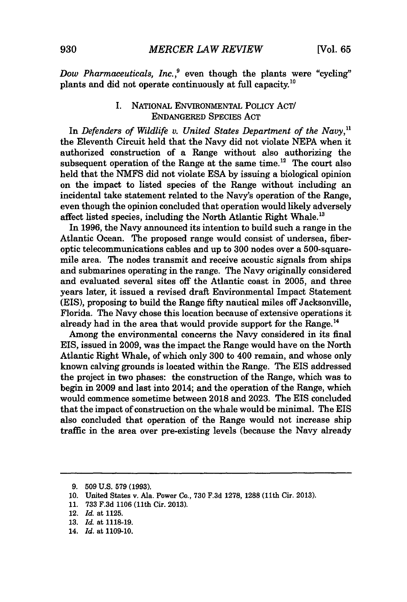*Dow Pharmaceuticals, Inc.,'* even though the plants were "cycling" plants and did not operate continuously at full capacity.<sup>10</sup>

## **I.** NATIONAL ENVIRONMENTAL POLICY ACT/ **ENDANGERED** SPECIES **ACT**

*In Defenders of Wildlife v. United States Department of the Navy,"* the Eleventh Circuit held that the Navy did not violate **NEPA** when it authorized construction of a Range without also authorizing the subsequent operation of the Range at the same time.<sup>12</sup> The court also held that the **NMFS** did not violate **ESA by** issuing a biological opinion on the impact to listed species of the Range without including an incidental take statement related to the Navy's operation of the Range, even though the opinion concluded that operation would likely adversely affect listed species, including the North Atlantic Right Whale."

In **1996,** the Navy announced its intention to build such a range in the Atlantic Ocean. The proposed range would consist of undersea, fiberoptic telecommunications cables and up to **300** nodes over a 500-squaremile area. The nodes transmit and receive acoustic signals from ships and submarines operating in the range. The Navy originally considered and evaluated several sites off the Atlantic coast in **2005,** and three years later, it issued a revised draft Environmental Impact Statement (EIS), proposing to build the Range **fifty** nautical miles off Jacksonville, Florida. The Navy chose this location because of extensive operations it already had in the area that would provide support for the Range.<sup>14</sup>

Among the environmental concerns the Navy considered in its final EIS, issued in **2009,** was the impact the Range would have on the North Atlantic Right Whale, of which only **300** to 400 remain, and whose only known calving grounds is located within the Range. The EIS addressed the project in two phases: the construction of the Range, which was to begin in **2009** and last into 2014; and the operation of the Range, which would commence sometime between **2018** and **2023.** The **EIS** concluded that the impact of construction on the whale would be minimal. The EIS also concluded that operation of the Range would not increase ship traffic in the area over pre-existing levels (because the Navy already

**11. 733 F.3d 1106** (11th Cir. **2013).**

**<sup>9. 509</sup> U.S. 579 (1993).**

**<sup>10.</sup>** United States v. Ala. Power Co., **730 F.3d 1278, 1288** (11th Cir. **2013).**

<sup>12.</sup> *Id.* at **1125.**

**<sup>13.</sup>** *Id.* at **1118-19.**

<sup>14.</sup> *Id.* at **1109-10.**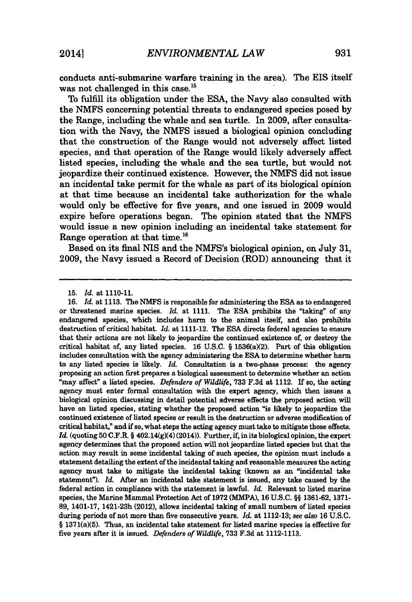conducts anti-submarine warfare training in the area). The EIS itself was not challenged in this case.<sup>15</sup>

To fulfill its obligation under the **ESA,** the Navy also consulted with the **NMFS** concerning potential threats to endangered species posed **by** the Range, including the whale and sea turtle. In **2009,** after consultation with the Navy, the **NMFS** issued a biological opinion concluding that the construction of the Range would not adversely affect listed species, and that operation of the Range would likely adversely affect listed species, including the whale and the sea turtle, but would not jeopardize their continued existence. However, the **NMFS** did not issue an incidental take permit for the whale as part of its biological opinion at that time because an incidental take authorization for the whale would only be effective for five years, and one issued in **2009** would expire before operations began. The opinion stated that the **NMFS** would issue a new opinion including an incidental take statement for Range operation at that time.<sup>16</sup>

Based on its final NIS and the NMFS's biological opinion, on July **31, 2009,** the Navy issued a Record of Decision (ROD) announcing that it

**16.** *Id.* at **1113.** The **NMFS** is responsible for administering the **ESA** as to endangered or threatened marine species. *Id.* at **1111.** The **ESA** prohibits the "taking" of any endangered species, which includes harm to the animal itself, and also prohibits destruction of critical habitat. *Id.* at 1111-12. The **ESA** directs federal agencies to ensure that their actions are not likely to jeopardize the continued existence of, or destroy the critical habitat of, any listed species. 16 U.S.C. § 1536(a)(2). Part of this obligation includes consultation with the agency administering the **ESA** to determine whether harm to any listed species is likely. *Id.* Consultation is a two-phase process: the agency proposing an action first prepares a biological assessment to determine whether an action 'may affect" a listed species. *Defenders of Wildlife,* **733 F.3d** at 1112. If so, the acting agency must enter formal consultation with the expert agency, which then issues a biological opinion discussing in detail potential adverse effects the proposed action will have on listed species, stating whether the proposed action "is likely to jeopardize the continued existence of listed species or result in the destruction or adverse modification of critical habitat," and if so, what steps the acting agency must take to mitigate those effects.  $Id$ . (quoting 50 C.F.R.  $\S$  402.14(g)(4) (2014)). Further, if, in its biological opinion, the expert agency determines that the proposed action will not jeopardize listed species but that the action may result in some incidental taking of such species, the opinion must include a statement detailing the extent of the incidental taking and reasonable measures the acting agency must take to mitigate the incidental taking (known as an "incidental take statement"). *Id.* After an incidental take statement is issued, any take caused **by** the federal action in compliance with the statement is lawful. *Id.* Relevant to listed marine species, the Marine Mammal Protection Act of **1972 (MMPA), 16 U.S.C. §§ 1361-62, 1371- 89,** 1401-17, 1421-23h (2012), allows incidental taking of small numbers of listed species during periods of not more than five consecutive years. *Id.* at **1112-13;** *see also* **16 U.S.C. §** 1371(a)(5). Thus, an incidental take statement for listed marine species is effective for five years after it is issued. *Defenders of Wildlife,* **733 F.3d** at **1112-1113.**

**<sup>15.</sup>** *Id.* at **1110-11.**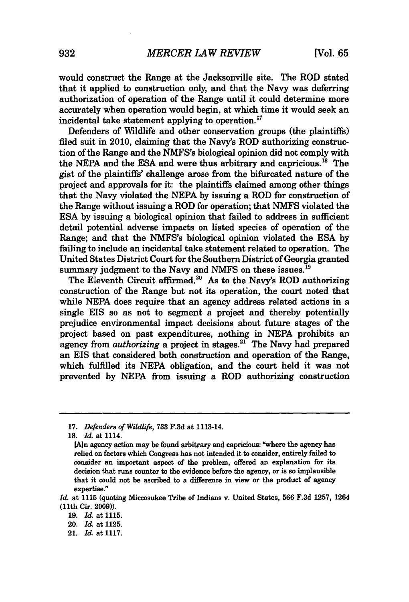would construct the Range at the Jacksonville site. The ROD stated that it applied to construction only, and that the Navy was deferring authorization of operation of the Range until it could determine more accurately when operation would begin, at which time it would seek an incidental take statement applying to operation.<sup>17</sup>

Defenders of Wildlife and other conservation groups (the plaintiffs) filed suit in 2010, claiming that the Navy's ROD authorizing construction of the Range and the NMFS's biological opinion did not comply with the **NEPA** and the **ESA** and were thus arbitrary and capricious."8 The gist of the plaintiffs' challenge arose from the bifurcated nature of the project and approvals for it: the plaintiffs claimed among other things that the Navy violated the **NEPA by** issuing a ROD for construction of the Range without issuing a ROD for operation; that **NMFS** violated the **ESA by** issuing a biological opinion that failed to address in sufficient detail potential adverse impacts on listed species of operation of the Range; and that the NMFS's biological opinion violated the **ESA by** failing to include an incidental take statement related to operation. The United States District Court for the Southern District of Georgia granted summary judgment to the Navy and NMFS on these issues.<sup>19</sup>

The Eleventh Circuit affirmed.<sup>20</sup> As to the Navy's ROD authorizing construction of the Range but not its operation, the court noted that while **NEPA** does require that an agency address related actions in a single EIS so as not to segment a project and thereby potentially prejudice environmental impact decisions about future stages of the project based on past expenditures, nothing in **NEPA** prohibits an agency from *authorizing* a project in stages.<sup>21</sup> The Navy had prepared an EIS that considered both construction and operation of the Range, which fulfilled its **NEPA** obligation, and the court held it was not prevented **by NEPA** from issuing a ROD authorizing construction

21. *Id.* at **1117.**

*<sup>17.</sup> Defenders of Wildlife,* **733 F.3d** at 1113-14.

**<sup>18.</sup>** *Id. at* 1114.

<sup>[</sup>An agency action may be found arbitrary and capricious: "where the agency has relied on factors which Congress has not intended it to consider, entirely failed to consider an important aspect of the problem, offered an explanation for its decision that runs counter to the evidence before the agency, or is so implausible that it could not be ascribed to a difference in view or the product of agency expertise."

*Id.* at **1115** (quoting Miccosukee Tribe of Indians v. United States, **566 F.3d 1257,** 1264 (11th Cir. **2009)).**

*<sup>19.</sup> Id.* at **1115.**

<sup>20.</sup> *Id.* at **1125.**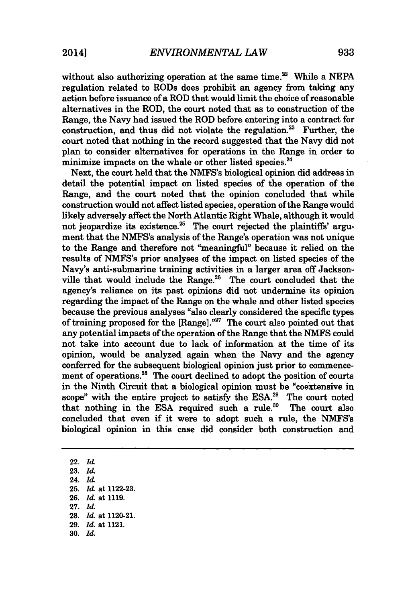without also authorizing operation at the same time.<sup>22</sup> While a NEPA regulation related to RODs does prohibit an agency from taking any action before issuance of a ROD that would limit the choice of reasonable alternatives in the ROD, the court noted that as to construction of the Range, the Navy had issued the ROD before entering into a contract for construction, and thus did not violate the regulation. $23$  Further, the court noted that nothing in the record suggested that the Navy did not plan to consider alternatives for operations in the Range in order to minimize impacts on the whale or other listed species.<sup>24</sup>

Next, the court held that the **NMFS's** biological opinion did address in detail the potential impact on listed species of the operation of the Range, and the court noted that the opinion concluded that while construction would not affect listed species, operation of the Range would likely adversely affect the North Atlantic Right Whale, although it would not jeopardize its existence.<sup>25</sup> The court rejected the plaintiffs' argument that the NMFS's analysis of the Range's operation was not unique to the Range and therefore not "meaningful" because it relied on the results of NMFS's prior analyses of the impact on listed species of the Navy's anti-submarine training activities in a larger area off Jacksonville that would include the Range.<sup>26</sup> The court concluded that the agency's reliance on its past opinions did not undermine its opinion regarding the impact of the Range on the whale and other listed species because the previous analyses "also clearly considered the specific types of training proposed for the  $[Range]$ ."<sup>27</sup> The court also pointed out that any potential impacts of the operation of the Range that the **NMFS** could not take into account due to lack of information at the time of its opinion, would be analyzed again when the Navy and the agency conferred for the subsequent biological opinion just prior to commencement of operations.<sup>28</sup> The court declined to adopt the position of courts in the Ninth Circuit that a biological opinion must be "coextensive in scope" with the entire project to satisfy the **ESA.2 "** The court noted that nothing in the ESA required such a rule.<sup>30</sup> The court also concluded that even if it were to adopt such a rule, the NMFS's biological opinion in this case did consider both construction and

22. *Id.* **23.** *Id.* 24. *Id.* **25.** *Id.* at **1122-23. 26.** *Id.* at **1119. 27.** *Id.* **28.** *Id.* at 1120-21. **29.** *Id.* at 1121. **30.** *Id.*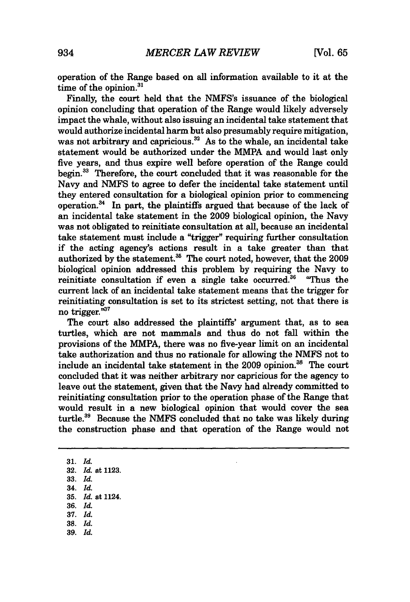operation of the Range based on all information available to it at the time of the opinion.<sup>31</sup>

Finally, the court held that the NMFS's issuance of the biological opinion concluding that operation of the Range would likely adversely impact the whale, without also issuing an incidental take statement that would authorize incidental harm but also presumably require mitigation, was not arbitrary and capricious.<sup>32</sup> As to the whale, an incidental take statement would be authorized under the MMPA and would last only five years, and thus expire well before operation of the Range could begin.<sup>33</sup> Therefore, the court concluded that it was reasonable for the Navy and **NMFS** to agree to defer the incidental take statement until they entered consultation for a biological opinion prior to commencing operation. $34$  In part, the plaintiffs argued that because of the lack of an incidental take statement in the **2009** biological opinion, the Navy was not obligated to reinitiate consultation at all, because an incidental take statement must include a "trigger" requiring further consultation *if* the acting agency's actions result in a take greater than that authorized **by** the statement.35 The court noted, however, that the **2009** biological opinion addressed this problem **by** requiring the Navy to reinitiate consultation if even a single take occurred.<sup>36</sup> "Thus the current lack of an incidental take statement means that the trigger for reinitiating consultation is set to its strictest setting, not that there is no trigger. $n^{37}$ 

The court also addressed the plaintiffs' argument that, as to sea turtles, which are not mammals and thus do not fall within the provisions of the MMPA, there was no five-year limit on an incidental take authorization and thus no rationale for allowing the **NMFS** not to include an incidental take statement in the 2009 opinion.<sup>38</sup> The court concluded that it was neither arbitrary nor capricious for the agency to leave out the statement, given that the Navy had already committed to reinitiating consultation prior to the operation phase of the Range that would result in a new biological opinion that would cover the sea turtle.<sup>39</sup> Because the NMFS concluded that no take was likely during the construction phase and that operation of the Range would not

**31.** *Id.* **32.** *Id.* at **1123. 33.** *Id.* 34. *Id.* **35.** *Id.* at 1124. **36.** *Id.* **37.** *Id.* **38.** *Id.* **39.** Id.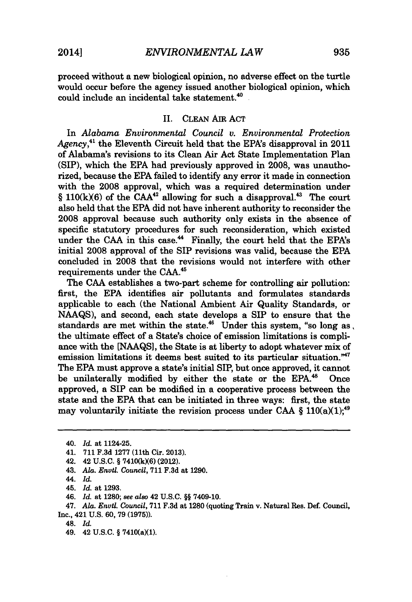proceed without a new biological opinion, no adverse effect on the turtle would occur before the agency issued another biological opinion, which could include an incidental take statement. $40$ .

## II. **CLEAN** Am **ACT**

In *Alabama Environmental Council v. Environmental Protection* Agency,<sup>41</sup> the Eleventh Circuit held that the EPA's disapproval in 2011 of Alabama's revisions to its Clean Air Act State Implementation Plan **(SIP),** which the **EPA** had previously approved in **2008,** was unauthorized, because the **EPA** failed to identify any error it made in connection with the **2008** approval, which was a required determination under *§* **110(kX6)** of the **CAA<sup>42</sup>**allowing for such a disapproval." The court also held that the **EPA** did not have inherent authority to reconsider the **2008** approval because such authority only exists in the absence of specific statutory procedures for such reconsideration, which existed under the CAA in this case.<sup>44</sup> Finally, the court held that the EPA's initial **2008** approval of the SIP revisions was valid, because the **EPA** concluded in **2008** that the revisions would not interfere with other requirements under the **CAA."**

The **CAA** establishes a two-part scheme for controlling air pollution: first, the **EPA** identifies air pollutants and formulates standards applicable to each (the National Ambient Air Quality Standards, or **NAAQS),** and second, each state develops a SIP to ensure that the standards are met within the state.<sup>46</sup> Under this system, "so long as, the ultimate effect of a State's choice of emission limitations is compliance with the **[NAAQS],** the State is at liberty to adopt whatever mix of emission limitations it deems best suited to its particular situation."<sup>47</sup> The **EPA** must approve a state's initial SIP, but once approved, it cannot be unilaterally modified **by** either the state or the **EPA."** Once approved, a SIP can be modified in a cooperative process between the state and the **EPA** that can be initiated in three ways: first, the state may voluntarily initiate the revision process under CAA  $\S$  110(a)(1);<sup>49</sup>

<sup>40.</sup> *Id. at* 1124-25.

<sup>41.</sup> **711 F.3d 1277** (11th Cir. **2013).**

<sup>42. 42</sup> **U.S.C. § 7410(kX6)** (2012).

<sup>43.</sup> *Ala. Envil. Council,* **711 F.3d** at **1290.**

<sup>44.</sup> *Id.*

*<sup>45.</sup> Id. at* **1293.**

<sup>46.</sup> *Id. at* **1280;** *see also* 42 **U.S.C. §§** 7409-10.

*<sup>47.</sup> Ala. Envtl. Council,* **711** F.3d *at* **1280** (quoting Train v. Natural Res. Def. Council, Inc., 421 **U.S. 60, 79 (1975)).**

<sup>48.</sup> *Id.*

<sup>49. 42</sup> **U.S.C. §** 7410(aX1).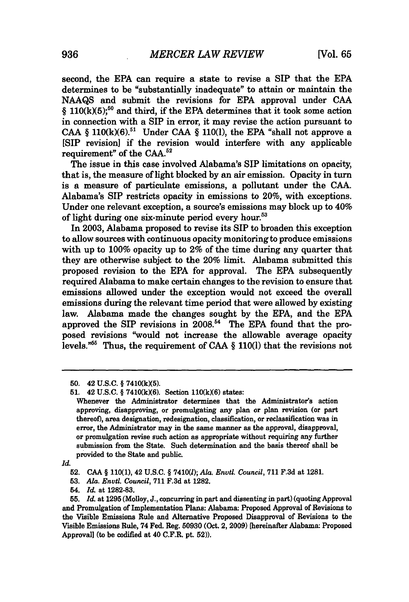second, the **EPA** can require a state to revise a SIP that the **EPA** determines to be "substantially inadequate" to attain or maintain the **NAAQS** and submit the revisions for **EPA** approval under **CAA** *§* **110(k)(5);so** and third, if the **EPA** determines that it took some action in connection with a SIP in error, it may revise the action pursuant to CAA  $\S$  110(k)(6).<sup>51</sup> Under CAA  $\S$  110(l), the EPA "shall not approve a **[SIP** revision] **if** the revision would interfere with any applicable requirement" of the **CAA.52**

The issue in this case involved Alabama's **SIP** limitations on opacity, that is, the measure of light blocked **by** an air emission. Opacity in turn is a measure of particulate emissions, a pollutant under the **CAA.** Alabama's SIP restricts opacity in emissions to 20%, with exceptions. Under one relevant exception, a source's emissions may block up to 40% of light during one six-minute period every hour.<sup>53</sup>

In **2003,** Alabama proposed to revise its SIP to broaden this exception to allow sources with continuous opacity monitoring to produce emissions with up to **100%** opacity up to 2% of the time during any quarter that they are otherwise subject to the 20% limit. Alabama submitted this proposed revision to the **EPA** for approval. The **EPA** subsequently required Alabama to make certain changes to the revision to ensure that emissions allowed under the exception would not exceed the overall emissions during the relevant time period that were allowed **by** existing law. Alabama made the changes sought **by** the **EPA,** and the **EPA** approved the SIP revisions in 2008.<sup>54</sup> The EPA found that the proposed revisions "would not increase the allowable average opacity levels.<sup>"55</sup> Thus, the requirement of CAA § 110(1) that the revisions not

*Id.*

**53.** *Ala. Envtl. Council,* **711 F.3d** at **1282.**

**<sup>50.</sup>** 42 **U.S.C. § 7410(kX5).**

**<sup>51.</sup> 42 U.S.C.** § **7410(k)(6).** Section **110(k)(6)** states:

Whenever the Administrator determines that the Administrator's action approving, disapproving, or promulgating any plan or plan revision (or part thereof), area designation, redesignation, classification, or reclassification was in error, the Administrator may in the same manner as the approval, disapproval, or promulgation revise such action as appropriate without requiring any further submission from the State. Such determination and the basis thereof shall be provided to the State and public.

**<sup>52.</sup> CAA § 110(1),** 42 **U.S.C.** *§ 7410(l); Ala. Envtl. Council,* **711 F.3d** at **1281.**

<sup>54.</sup> *Id.* at **1282-83.**

**<sup>55.</sup>** *Id.* at **1295** (Molloy, **J.,** concurring in part and dissenting in part) (quoting Approval and Promulgation of Implementation Plans: Alabama: Proposed Approval of Revisions to the Visible Emissions Rule and Alternative Proposed Disapproval of Revisions to the Visible Emissions Rule, 74 Fed. Reg. **50930** (Oct. 2, **2009)** [hereinafter Alabama: Proposed Approval] (to be codified at 40 C.F.R. pt. 52)).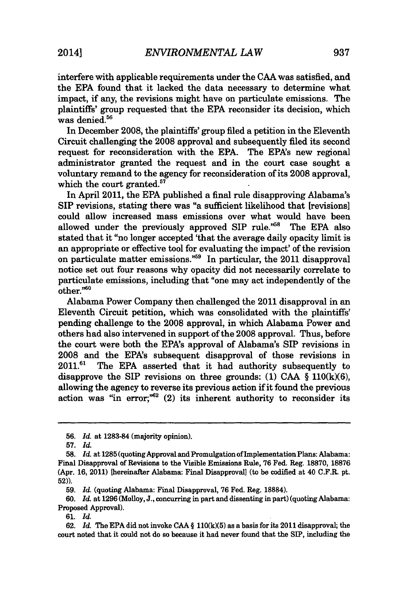interfere with applicable requirements under the **CAA** was satisfied, and the **EPA** found that it lacked the data necessary to determine what impact, if any, the revisions might have on particulate emissions. The plaintiffs' group requested that the **EPA** reconsider its decision, which was denied. $56$ 

In December **2008,** the plaintiffs' group filed a petition in the Eleventh Circuit challenging the **2008** approval and subsequently filed its second request for reconsideration with the **EPA.** The EPA's new regional administrator granted the request and in the court case sought a voluntary remand to the agency for reconsideration of its **2008** approval, which the court granted.<sup>57</sup>

In April 2011, the **EPA** published a final rule disapproving Alabama's SIP revisions, stating there was "a sufficient likelihood that [revisions] could allow increased mass emissions over what would have been allowed under the previously approved SIP rule."<sup>58</sup> The EPA also stated that it "no longer accepted 'that the average daily opacity limit is an appropriate or effective tool for evaluating the impact' of the revision on particulate matter emissions."59 In particular, the 2011 disapproval notice set out four reasons why opacity did not necessarily correlate to particulate emissions, including that "one may act independently of the other."<sup>60</sup>

Alabama Power Company then challenged the 2011 disapproval in an Eleventh Circuit petition, which was consolidated with the plaintiffs' pending challenge to the **2008** approval, in which Alabama Power and others had also intervened in support of the **2008** approval. Thus, before the court were both the EPA's approval of Alabama's SIP revisions in **2008** and the EPA's subsequent disapproval of those revisions in **2011.61** The **EPA** asserted that it had authority subsequently to disapprove the SIP revisions on three grounds: **(1) CAA** *§* **110(k)(6),** allowing the agency to reverse its previous action if it found the previous action was "in error; $m=52$  (2) its inherent authority to reconsider its

**60.** *Id.* at **1296** (Molloy, **J.,** concurring in part and dissenting in part) (quoting Alabama: Proposed Approval).

**61.** *Id.*

**<sup>56.</sup>** *Id.* at **1283-84** (majority opinion).

**<sup>57.</sup>** *Id.*

**<sup>58.</sup>** *Id.* at **1285** (quoting Approval and Promulgation of Implementation Plans: Alabama: Final Disapproval of Revisions to the Visible Emissions Rule, **76** Fed. Reg. **18870, 18876** (Apr. **16,** 2011) [hereinafter Alabama: Final Disapproval] (to be codified at 40 C.F.R. pt. **52)).**

**<sup>59.</sup>** *Id.* (quoting Alabama: Final Disapproval, **76** Fed. Reg. **18884).**

**<sup>62.</sup>** *Id.* The **EPA** did not invoke **CAA § 110(k)(5)** as a basis for its 2011 disapproval; the court noted that it could not do so because it had never found that the **SIP,** including the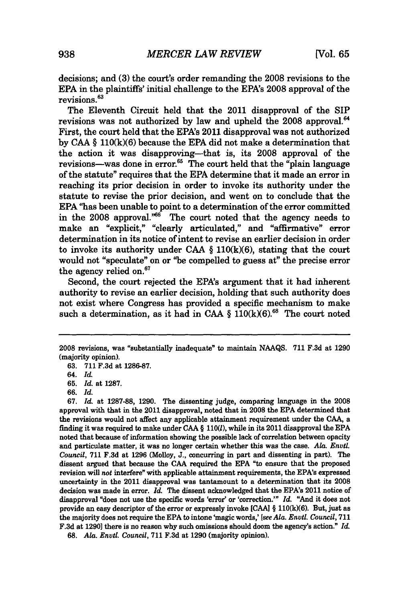decisions; and **(3)** the court's order remanding the **2008** revisions to the **EPA** in the plaintiffs' initial challenge to the EPA's **2008** approval of the revisions.<sup>63</sup>

The Eleventh Circuit held that the 2011 disapproval of the SIP revisions was not authorized **by** law and upheld the **2008** approval." First, the court held that the EPA's 2011 disapproval was not authorized **by CAA § 110(k)(6)** because the **EPA** did not make a determination that the action it was disapproving-that is, its **2008** approval of the revisions—was done in error. $65$  The court held that the "plain language" of the statute" requires that the **EPA** determine that it made an error in reaching its prior decision in order to invoke its authority under the statute to revise the prior decision, and went on to conclude that the **EPA** "has been unable to point to a determination of the error committed in the 2008 approval."<sup>66</sup> The court noted that the agency needs to make an "explicit," "clearly articulated," and "affirmative" error determination in its notice of intent to revise an earlier decision in order to invoke its authority under *CAA §* **110(k)(6),** stating that the court would not "speculate" on or "be compelled to guess at" the precise error the agency relied on.<sup>67</sup>

Second, the court rejected the EPA's argument that it had inherent authority to revise an earlier decision, holding that such authority does not exist where Congress has provided a specific mechanism to make such a determination, as it had in CAA  $\S$  110(k)(6).<sup>68</sup> The court noted

*67. Id.* at **1287-88, 1290.** The dissenting judge, comparing language in the **2008** approval with that in the 2011 disapproval, noted that in **2008** the **EPA** determined that the revisions would not affect any applicable attainment requirement under the **CAA,** a finding it was required to make under **CAA § 110(l),** while in its 2011 disapproval the **EPA** noted that because of information showing the possible lack of correlation between opacity and particulate matter, it was no longer certain whether this was the case. *Ala. Envil. Council,* **711 F.3d** at **1296** (Molloy, **J.,** concurring in part and dissenting in part). The dissent argued that because the **CAA** required the **EPA** "to ensure that the proposed revision will *not* interfere" with applicable attainment requirements, the EPA's expressed uncertainty in the 2011 disapproval was tantamount to a determination that its **2008** decision was made in error. *Id.* The dissent acknowledged that the EPA's 2011 notice of disapproval "does not use the specific words 'error' or 'correction.'" *Id.* "And it does not provide an easy descriptor of the error or expressly invoke **[CAA] § 110(k)(6).** But, just as the majority does not require the **EPA** to intone 'magic words,' *[see Ala. Enutl. Council,* **711 F.3d** at **1290]** there is no reason why such omissions should doom the agency's action." *Id.*

**68.** *Ala. Enytl. Council,* **711 F.3d** at **1290** (majority opinion).

**<sup>2008</sup>** revisions, was "substantially inadequate" to maintain **NAAQS. 711 F.3d** at **1290** (majority opinion).

**<sup>63. 711</sup> F.3d** at **1286-87.**

*<sup>64.</sup> Id.*

**<sup>65.</sup>** *Id.* at **1287.**

**<sup>66.</sup>** *Id.*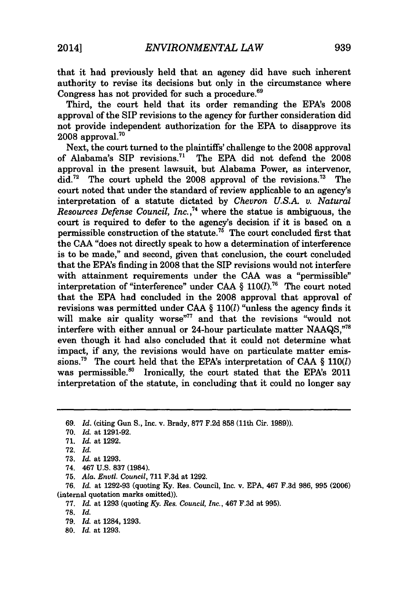that it had previously held that an agency did have such inherent authority to revise its decisions but only in the circumstance where Congress has not provided for such a procedure.<sup>69</sup>

Third, the court held that its order remanding the EPA's **2008** approval of the SIP revisions to the agency for further consideration did not provide independent authorization for the **EPA** to disapprove its  $2008$  approval.<sup>70</sup>

Next, the court turned to the plaintiffs' challenge to the **2008** approval of Alabama's SIP revisions." The **EPA** did not defend the **2008** approval in the present lawsuit, but Alabama Power, as intervenor, did.<sup>72</sup> The court upheld the 2008 approval of the revisions.<sup>73</sup> The court noted that under the standard of review applicable to an agency's interpretation of a statute dictated **by** *Chevron U.S.A. v. Natural Resources Defense Council, Inc.,"* where the statue is ambiguous, the court is required to defer to the agency's decision if it is based on a permissible construction of the statute.<sup>75</sup> The court concluded first that the **CAA** "does not directly speak to how a determination of interference is to be made," and second, given that conclusion, the court concluded that the EPA's finding in **2008** that the SIP revisions would not interfere with attainment requirements under the **CAA** was a "permissible" interpretation of "interference" under **CAA** *§* **110(1).76** The court noted that the **EPA** had concluded in the **2008** approval that approval of revisions was permitted under **CAA** *§* **110(l)** "unless the agency finds it will make air quality worse"<sup>77</sup> and that the revisions "would not interfere with either annual or 24-hour particulate matter **NAAQS,"<sup>78</sup>** even though it had also concluded that it could not determine what impact, if any, the revisions would have on particulate matter emissions." The court held that the EPA's interpretation of **CAA** *§* **110(l)** was permissible.<sup>80</sup> Ironically, the court stated that the EPA's 2011 interpretation of the statute, in concluding that it could no longer say

74. 467 **U.S. 837** (1984).

**77.** *Id.* at **1293** (quoting *Ky. Res. Council, Inc.,* 467 **F.3d** at **995).**

- **79.** *Id.* at 1284, **1293.**
- **80.** *Id.* at **1293.**

*<sup>69.</sup> Id.* (citing Gun **S.,** Inc. v. Brady, **877 F.2d 858** (11th Cir. **1989)).**

**<sup>70.</sup>** *Id.* at **1291-92.**

**<sup>71.</sup>** *Id.* at **1292.**

**<sup>72.</sup>** *Id.*

**<sup>73.</sup>** *Id.* at **1293.**

**<sup>75.</sup>** *Ala. Envtl. Council,* **711 F.3d** at **1292.**

*<sup>76.</sup> Id.* at **1292-93** (quoting **Ky.** Res. Council, Inc. v. **EPA,** 467 **F.3d 986, 995 (2006)** (internal quotation marks omitted)).

**<sup>78.</sup>** *Id.*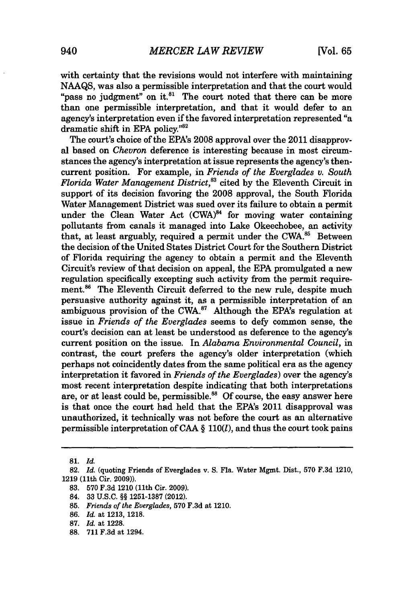with certainty that the revisions would not interfere with maintaining **NAAQS,** was also a permissible interpretation and that the court would "pass no judgment" on it. $81$  The court noted that there can be more than one permissible interpretation, and that it would defer to an agency's interpretation even if the favored interpretation represented "a dramatic shift in EPA policy."<sup>82</sup>

The court's choice of the EPA's **2008** approval over the 2011 disapproval based on *Chevron* deference is interesting because in most circumstances the agency's interpretation at issue represents the agency's thencurrent position. For example, in *Friends of the Everglades v. South Florida Water Management District,"* cited **by** the Eleventh Circuit in support of its decision favoring the **2008** approval, the South Florida Water Management District was sued over its failure to obtain a permit under the Clean Water Act  $(CWA)^{84}$  for moving water containing pollutants from canals it managed into Lake Okeechobee, an activity that, at least arguably, required a permit under the CWA.<sup>85</sup> Between the decision of the United States District Court for the Southern District of Florida requiring the agency to obtain a permit and the Eleventh Circuit's review of that decision on appeal, the **EPA** promulgated a new regulation specifically excepting such activity from the permit requirement.<sup>86</sup> The Eleventh Circuit deferred to the new rule, despite much persuasive authority against it, as a permissible interpretation of an ambiguous provision of the CWA. $^{87}$  Although the EPA's regulation at issue in *Friends of the Everglades* seems to defy common sense, the court's decision can at least be understood as deference to the agency's current position on the issue. In *Alabama Environmental Council,* in contrast, the court prefers the agency's older interpretation (which perhaps not coincidently dates from the same political era as the agency interpretation it favored in *Friends of the Everglades)* over the agency's most recent interpretation despite indicating that both interpretations are, or at least could be, permissible." **Of** course, the easy answer here is that once the court had held that the EPA's 2011 disapproval was unauthorized, it technically was not before the court as an alternative permissible interpretation of **CAA** *§ 110(l),* and thus the court took pains

**<sup>81.</sup>** *Id.*

**<sup>82.</sup>** *Id.* (quoting Friends of Everglades v. **S.** Fla. Water Mgmt. Dist., **570 F.3d** 1210, **1219** (11th Cir. **2009)).**

**<sup>83. 570</sup> F.3d** 1210 (11th Cir. **2009).**

<sup>84.</sup> **33 U.S.C. H§ 1251-1387** (2012).

**<sup>85.</sup>** *Friends of the Everglades,* **570 F.3d** at 1210.

**<sup>86.</sup>** *Id.* at **1213, 1218.**

**<sup>87.</sup>** *Id.* at **1228.**

**<sup>88. 711</sup> F.3d** at 1294.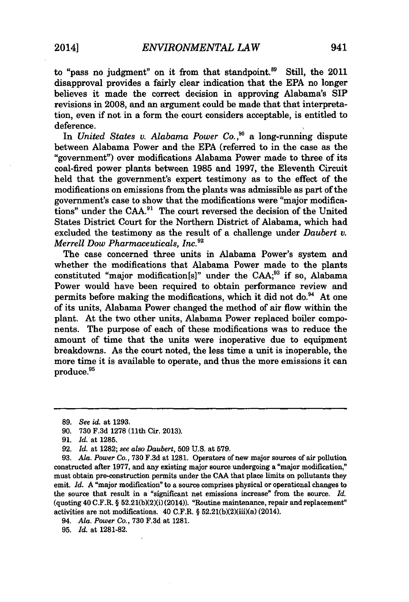to "pass no judgment" on it from that standpoint. $8^9$  Still, the 2011 disapproval provides a fairly clear indication that the **EPA** no longer believes it made the correct decision in approving Alabama's **SIP** revisions in **2008,** and an argument could be made that that interpretation, even if not in a form the court considers acceptable, is entitled to deference.

In *United States v. Alabama Power Co.*<sup>90</sup> a long-running dispute between Alabama Power and the **EPA** (referred to in the case as the "government") over modifications Alabama Power made to three of its coal-fired power plants between **1985** and **1997,** the Eleventh Circuit held that the government's expert testimony as to the effect of the modifications on emissions from the plants was admissible as part of the government's case to show that the modifications were "major modifications" under the **CAA."** The.court reversed the decision of the United States District Court for the Northern District of Alabama, which had excluded the testimony as the result of a challenge under *Daubert v. Merrell Dow Pharmaceuticals, Inc."*

The case concerned three units in Alabama Power's system and whether the modifications that Alabama Power made to the plants constituted "major modification[s]" under the **CAA;93** if so, Alabama Power would have been required to obtain performance review and permits before making the modifications, which it did not do. $94$  At one of its units, Alabama Power changed the method of air flow within the plant. At the two other units, Alabama Power replaced boiler components. The purpose of each of these modifications was to reduce the amount of time that the units were inoperative due to equipment breakdowns. As the court noted, the less time a unit is inoperable, the more time it is available to operate, and thus the more emissions it can produce.<sup>95</sup>

94. *Ala. Power Co.,* **730 F.3d** at **1281.**

**95.** *Id.* at **1281-82.**

**<sup>89.</sup>** *See id. at* **1293.**

**<sup>90. 730</sup> F.3d 1278** (11th Cir. **2013).**

**<sup>91.</sup>** *Id.* at **1285.**

**<sup>92.</sup>** *Id. at* **1282;** *see also Daubert,* **509 U.S.** at **579.**

**<sup>93.</sup>** *Ala. Power Co.,* **730 F.3d** *at* **1281.** Operators of new major sources of air pollution constructed after **1977,** and any existing major source undergoing a "major modification," must obtain pre-construction permits under the **CAA** that place limits on pollutants they emit. *Id.* A "major modification" to a source comprises physical or operational changes to the source that result in a "significant net emissions increase" from the source. *Id.*  $($ quoting  $40$  C.F.R.  $\S$   $52.21(b)(2)(i)$   $(2014)$ ). "Routine maintenance, repair and replacement" activities are not modifications. 40 C.F.R. **§** 52.21(b)(2)(iii)(a) (2014).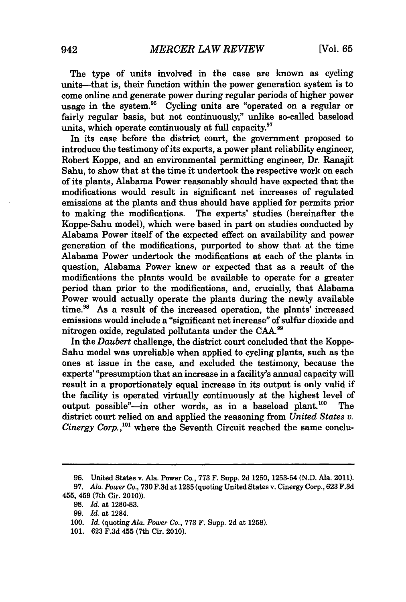The type of units involved in the case are known as cycling units--that is, their function within the power generation system is to come online and generate power during regular periods of higher power usage in the system.96 Cycling units are "operated on a regular or fairly regular basis, but not continuously," unlike so-called baseload units, which operate continuously at **full** capacity."

In its case before the district court, the government proposed to introduce the testimony of its experts, a power plant reliability engineer, Robert Koppe, and an environmental permitting engineer, Dr. Ranajit Sahu, to show that at the time it undertook the respective work on each of its plants, Alabama Power reasonably should have expected that the modifications would result in significant net increases of regulated emissions at the plants and thus should have applied for permits prior<br>to making the modifications. The experts' studies (hereinafter the The experts' studies (hereinafter the Koppe-Sahu model), which were based in part on studies conducted **by** Alabama Power itself of the expected effect on availability and power generation of the modifications, purported to show that at the time Alabama Power undertook the modifications at each of the plants in question, Alabama Power knew or expected that as a result of the modifications the plants would be available to operate for a greater period than prior to the modifications, and, crucially, that Alabama Power would actually operate the plants during the newly available time.<sup>98</sup> As a result of the increased operation, the plants' increased emissions would include a "significant net increase" of sulfur dioxide and nitrogen oxide, regulated pollutants under the **CAA."**

In the *Daubert* challenge, the district court concluded that the Koppe-Sahu model was unreliable when applied to cycling plants, such as the ones at issue in the case, and excluded the testimony, because the experts' "presumption that an increase in a facility's annual capacity will result in a proportionately equal increase in its output is only valid if the facility is operated virtually continuously at the highest level of output possible"-in other words, as in a baseload plant.<sup>100</sup> The district court relied on and applied the reasoning from *United States v. Cinergy Corp.*,<sup>101</sup> where the Seventh Circuit reached the same conclu-

**<sup>96.</sup>** United States v. Ala. Power Co., **773** F. Supp. **2d** 1250, 1253-54 **(N.D.** Ala. 2011).

*<sup>97.</sup> Ala. Power Co.,* **730 F.3d** at **1285** (quoting United States v. Cinergy Corp., **623 F.3d** 455, 459 (7th Cir. 2010)).

**<sup>98.</sup>** *Id.* at **1280-83.**

*<sup>99.</sup> Id.* at 1284.

*<sup>100.</sup> Id.* (quoting *Ala. Power Co.,* **773** F. Supp. **2d** at **1258).**

**<sup>101. 623</sup> F.3d** 455 (7th Cir. 2010).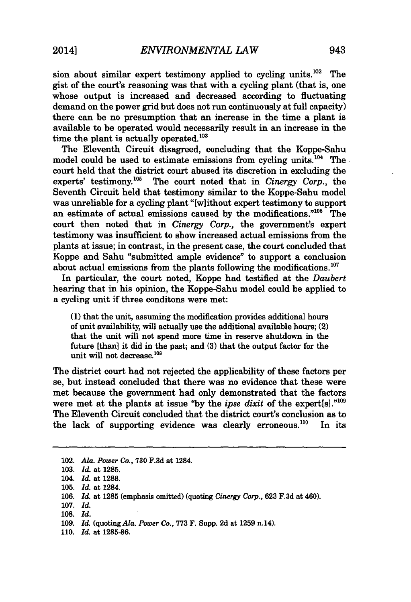sion about similar expert testimony applied to cycling units.<sup>102</sup> The gist of the court's reasoning was that with a cycling plant (that is, one whose output is increased and decreased according to fluctuating demand on the power grid but does not run continuously at full capacity) there can be no presumption that an increase in the time a plant is available to be operated would necessarily result in an increase in the time the plant is actually operated. $103$ 

The Eleventh Circuit disagreed, concluding that the Koppe-Sahu model could be used to estimate emissions from cycling units.<sup>104</sup> The court held that the district court abused its discretion in excluding the experts' testimony.<sup>105</sup> The court noted that in *Cinergy Corp.*, the The court noted that in *Cinergy Corp.*, the Seventh Circuit held that testimony similar to the Koppe-Sahu model was unreliable for a cycling plant "[wlithout expert testimony to support an estimate of actual emissions caused by the modifications."<sup>106</sup> The court then noted that in *Cinergy Corp.,* the government's expert testimony was insufficient to show increased actual emissions from the plants at issue; in contrast, in the present case, the court concluded that Koppe and Sahu "submitted ample evidence" to support a conclusion about actual emissions from the plants following the modifications. $^{107}$ 

In particular, the court noted, Koppe had testified at the *Daubert* hearing that in his opinion, the Koppe-Sahu model could be applied to a cycling unit if three conditons were met:

**(1)** that the unit, assuming the modification provides additional hours of unit availability, will actually use the additional available hours; (2) that the unit will not spend more time in reserve shutdown in the future [than] it did in the past; and **(3)** that the output factor for the unit will not decrease.<sup>108</sup>

The district court had not rejected the applicability of these factors per se, but instead concluded that there was no evidence that these were met because the government had only demonstrated that the factors were met at the plants at issue "by the *ipse dixit* of the expert[s]."<sup>109</sup> The Eleventh Circuit concluded that the district court's conclusion as to the lack of supporting evidence was clearly erroneous.<sup>110</sup> In its

<sup>102.</sup> *Ala. Power Co.,* **730 F.3d** at 1284.

**<sup>103.</sup>** *Id.* at **1285.**

<sup>104.</sup> *Id.* at **1288.**

**<sup>105.</sup>** *Id.* at 1284.

**<sup>106.</sup>** *Id.* at **1285** (emphasis omitted) (quoting *Cinergy Corp.,* **623 F.3d** at 460).

**<sup>107.</sup>** *Id.*

**<sup>108.</sup>** *Id.*

**<sup>109.</sup>** *Id.* (quoting *Ala. Power Co.,* **773** F. Supp. **2d** at **1259** n.14).

**<sup>110.</sup>** *Id.* at **1285-86.**